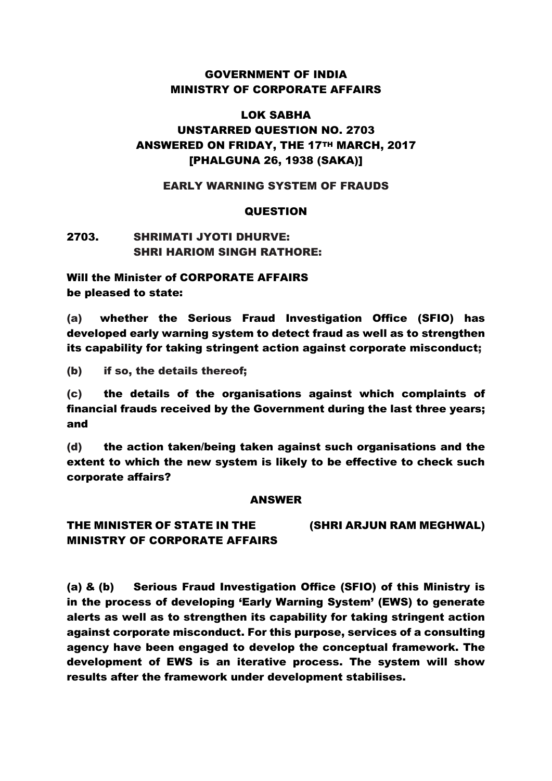## GOVERNMENT OF INDIA MINISTRY OF CORPORATE AFFAIRS

# LOK SABHA UNSTARRED QUESTION NO. 2703 ANSWERED ON FRIDAY, THE 17TH MARCH, 2017 [PHALGUNA 26, 1938 (SAKA)]

### EARLY WARNING SYSTEM OF FRAUDS

#### **QUESTION**

## 2703. SHRIMATI JYOTI DHURVE: SHRI HARIOM SINGH RATHORE:

Will the Minister of CORPORATE AFFAIRS be pleased to state:

(a) whether the Serious Fraud Investigation Office (SFIO) has developed early warning system to detect fraud as well as to strengthen its capability for taking stringent action against corporate misconduct;

(b) if so, the details thereof;

(c) the details of the organisations against which complaints of financial frauds received by the Government during the last three years; and

(d) the action taken/being taken against such organisations and the extent to which the new system is likely to be effective to check such corporate affairs?

#### ANSWER

THE MINISTER OF STATE IN THE (SHRI ARJUN RAM MEGHWAL) MINISTRY OF CORPORATE AFFAIRS

(a) & (b) Serious Fraud Investigation Office (SFIO) of this Ministry is in the process of developing 'Early Warning System' (EWS) to generate alerts as well as to strengthen its capability for taking stringent action against corporate misconduct. For this purpose, services of a consulting agency have been engaged to develop the conceptual framework. The development of EWS is an iterative process. The system will show results after the framework under development stabilises.